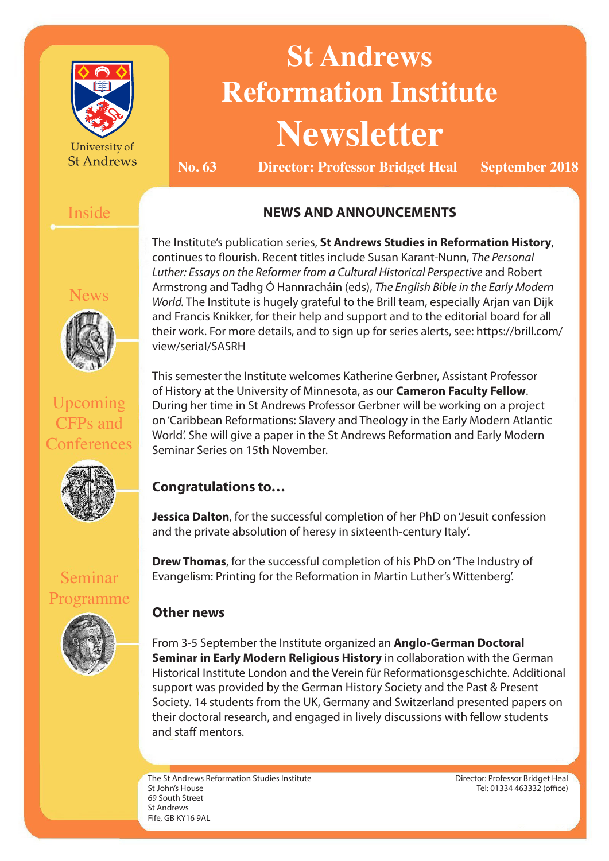

University of **St Andrews** 

# **St Andrews Reformation Institute Newsletter**

**No. 63 Director: Professor Bridget Heal September 2018**

# Inside

# **NEWS AND ANNOUNCEMENTS**

News



Upcoming CFPs and

**Conferences** 

The Institute's publication series, **St Andrews Studies in Reformation History**, continues to flourish. Recent titles include Susan Karant-Nunn, *The Personal Luther: Essays on the Reformer from a Cultural Historical Perspective* and Robert Armstrong and Tadhg Ó Hannracháin (eds), *The English Bible in the Early Modern World.* The Institute is hugely grateful to the Brill team, especially Arjan van Dijk and Francis Knikker, for their help and support and to the editorial board for all their work. For more details, and to sign up for series alerts, see: https://brill.com/ view/serial/SASRH

This semester the Institute welcomes Katherine Gerbner, Assistant Professor of History at the University of Minnesota, as our **Cameron Faculty Fellow**. During her time in St Andrews Professor Gerbner will be working on a project on 'Caribbean Reformations: Slavery and Theology in the Early Modern Atlantic World'. She will give a paper in the St Andrews Reformation and Early Modern Seminar Series on 15th November.

# **Congratulations to…**

**Jessica Dalton**, for the successful completion of her PhD on 'Jesuit confession and the private absolution of heresy in sixteenth-century Italy'.

**Drew Thomas**, for the successful completion of his PhD on 'The Industry of Evangelism: Printing for the Reformation in Martin Luther's Wittenberg'.

# **Other news**

From 3-5 September the Institute organized an **Anglo-German Doctoral Seminar in Early Modern Religious History** in collaboration with the German Historical Institute London and the Verein für Reformationsgeschichte. Additional support was provided by the German History Society and the Past & Present Society. 14 students from the UK, Germany and Switzerland presented papers on their doctoral research, and engaged in lively discussions with fellow students and staff mentors.

The St Andrews Reformation Studies Institute St John's House 69 South Street St Andrews Fife, GB KY16 9AL

Director: Professor Bridget Heal Tel: 01334 463332 (office)

Seminar Programme

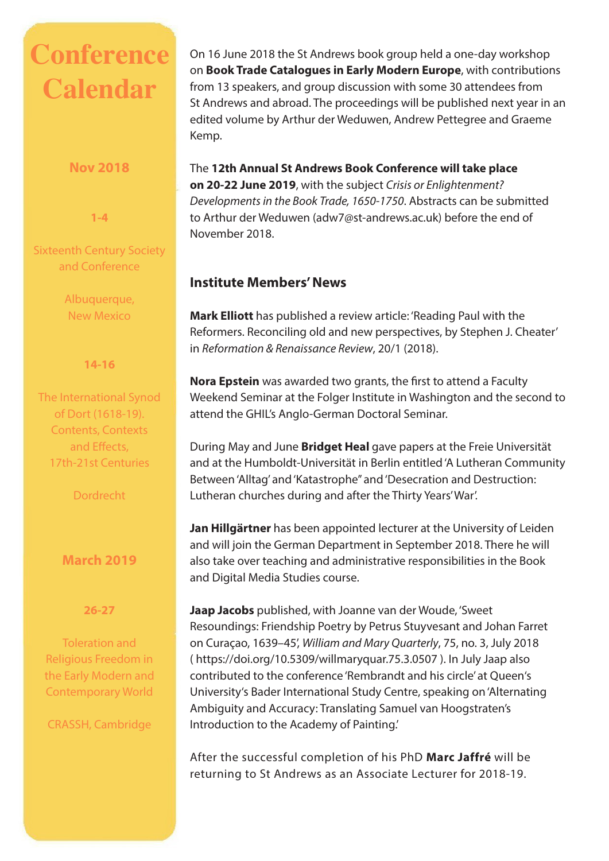# **Conference Calendar**

#### **Nov 2018**

**1-4** 

#### Sixteenth Century Society and Conference

Albuquerque, New Mexico

#### **14-16**

The International Synod of Dort (1618-19). Contents, Contexts and Effects, 17th-21st Centuries

**Dordrecht** 

# **March 2019**

#### **26-27**

Toleration and Religious Freedom in the Early Modern and Contemporary World

CRASSH, Cambridge

On 16 June 2018 the St Andrews book group held a one-day workshop on **Book Trade Catalogues in Early Modern Europe**, with contributions from 13 speakers, and group discussion with some 30 attendees from St Andrews and abroad. The proceedings will be published next year in an edited volume by Arthur der Weduwen, Andrew Pettegree and Graeme Kemp.

The **12th Annual St Andrews Book Conference will take place on 20-22 June 2019**, with the subject *Crisis or Enlightenment? Developments in the Book Trade, 1650-1750*. Abstracts can be submitted to Arthur der Weduwen (adw7@st-andrews.ac.uk) before the end of November 2018.

### **Institute Members' News**

**Mark Elliott** has published a review article: 'Reading Paul with the Reformers. Reconciling old and new perspectives, by Stephen J. Cheater' in *Reformation & Renaissance Review*, 20/1 (2018).

**Nora Epstein** was awarded two grants, the first to attend a Faculty Weekend Seminar at the Folger Institute in Washington and the second to attend the GHIL's Anglo-German Doctoral Seminar.

During May and June **Bridget Heal** gave papers at the Freie Universität and at the Humboldt-Universität in Berlin entitled 'A Lutheran Community Between 'Alltag' and 'Katastrophe'' and 'Desecration and Destruction: Lutheran churches during and after the Thirty Years' War'.

**Jan Hillgärtner** has been appointed lecturer at the University of Leiden and will join the German Department in September 2018. There he will also take over teaching and administrative responsibilities in the Book and Digital Media Studies course.

**Jaap Jacobs** published, with Joanne van der Woude, 'Sweet Resoundings: Friendship Poetry by Petrus Stuyvesant and Johan Farret on Curaçao, 1639–45', *William and Mary Quarterly*, 75, no. 3, July 2018 ( https://doi.org/10.5309/willmaryquar.75.3.0507 ). In July Jaap also contributed to the conference 'Rembrandt and his circle' at Queen's University's Bader International Study Centre, speaking on 'Alternating Ambiguity and Accuracy: Translating Samuel van Hoogstraten's Introduction to the Academy of Painting.'

After the successful completion of his PhD **Marc Jaffré** will be returning to St Andrews as an Associate Lecturer for 2018-19.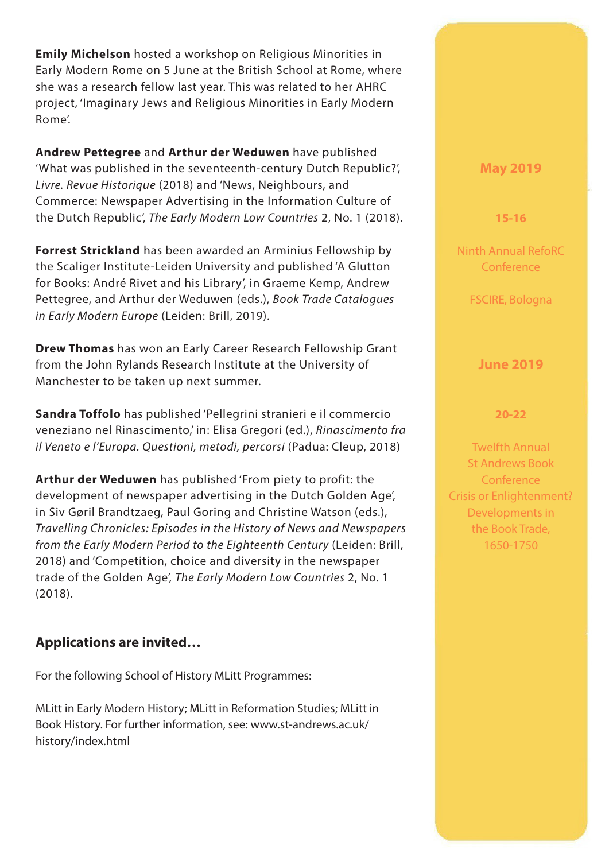**Emily Michelson** hosted a workshop on Religious Minorities in Early Modern Rome on 5 June at the British School at Rome, where she was a research fellow last year. This was related to her AHRC project, 'Imaginary Jews and Religious Minorities in Early Modern Rome'.

**Andrew Pettegree** and **Arthur der Weduwen** have published 'What was published in the seventeenth-century Dutch Republic?', *Livre. Revue Historique* (2018) and 'News, Neighbours, and Commerce: Newspaper Advertising in the Information Culture of the Dutch Republic', *The Early Modern Low Countries* 2, No. 1 (2018).

**Forrest Strickland** has been awarded an Arminius Fellowship by the Scaliger Institute-Leiden University and published 'A Glutton for Books: André Rivet and his Library', in Graeme Kemp, Andrew Pettegree, and Arthur der Weduwen (eds.), *Book Trade Catalogues in Early Modern Europe* (Leiden: Brill, 2019).

**Drew Thomas** has won an Early Career Research Fellowship Grant from the John Rylands Research Institute at the University of Manchester to be taken up next summer.

**Sandra Toffolo** has published 'Pellegrini stranieri e il commercio veneziano nel Rinascimento,' in: Elisa Gregori (ed.), *Rinascimento fra il Veneto e l'Europa. Questioni, metodi, percorsi* (Padua: Cleup, 2018)

**Arthur der Weduwen** has published 'From piety to profit: the development of newspaper advertising in the Dutch Golden Age', in Siv Gøril Brandtzaeg, Paul Goring and Christine Watson (eds.), *Travelling Chronicles: Episodes in the History of News and Newspapers from the Early Modern Period to the Eighteenth Century* (Leiden: Brill, 2018) and 'Competition, choice and diversity in the newspaper trade of the Golden Age', *The Early Modern Low Countries* 2, No. 1 (2018).

### **Applications are invited…**

For the following School of History MLitt Programmes:

MLitt in Early Modern History; MLitt in Reformation Studies; MLitt in Book History. For further information, see: www.st-andrews.ac.uk/ history/index.html

#### **May 2019**

**15-16**

Ninth Annual RefoRC **Conference** 

FSCIRE, Bologna

#### **June 2019**

#### **20-22**

Twelfth Annual St Andrews Book **Conference** Crisis or Enlightenment? Developments in the Book Trade, 1650-1750